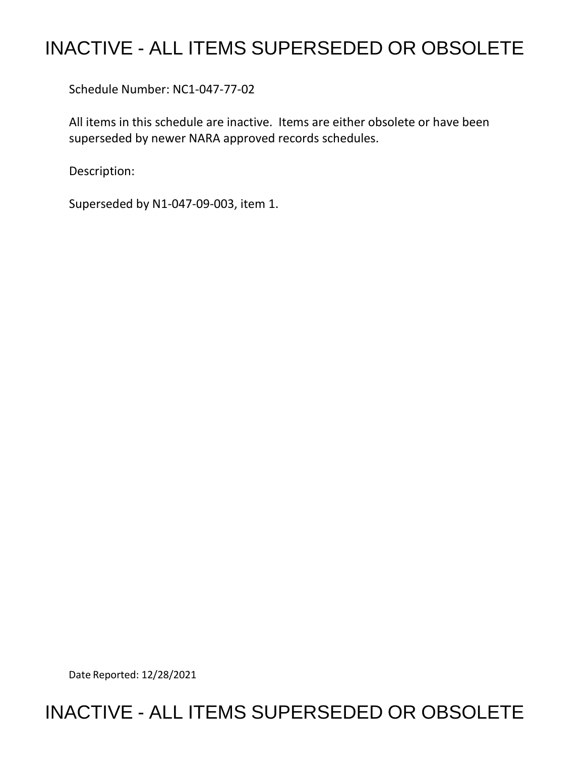## INACTIVE - ALL ITEMS SUPERSEDED OR OBSOLETE

Schedule Number: NC1-047-77-02

 All items in this schedule are inactive. Items are either obsolete or have been superseded by newer NARA approved records schedules.

Description:

Superseded by N1-047-09-003, item 1.

Date Reported: 12/28/2021

## INACTIVE - ALL ITEMS SUPERSEDED OR OBSOLETE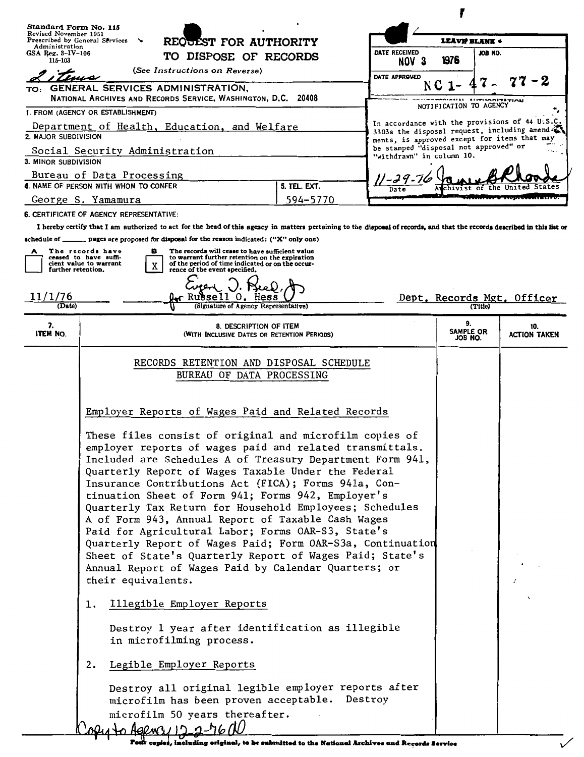| Standard Form No. 115                                                                                                                                                                                                                                                                              |                                                                                                                                                                                                                                                                                                                                                                                                                                                                                                                                                                                                                                                                                                                                                                                                                                                                                                                                                                                                                                                                                                                                                                 |                        |                            |                                                                                                                                        |  |  |
|----------------------------------------------------------------------------------------------------------------------------------------------------------------------------------------------------------------------------------------------------------------------------------------------------|-----------------------------------------------------------------------------------------------------------------------------------------------------------------------------------------------------------------------------------------------------------------------------------------------------------------------------------------------------------------------------------------------------------------------------------------------------------------------------------------------------------------------------------------------------------------------------------------------------------------------------------------------------------------------------------------------------------------------------------------------------------------------------------------------------------------------------------------------------------------------------------------------------------------------------------------------------------------------------------------------------------------------------------------------------------------------------------------------------------------------------------------------------------------|------------------------|----------------------------|----------------------------------------------------------------------------------------------------------------------------------------|--|--|
| Revised November 1951<br>Prescribed by General Services<br>REQUEST FOR AUTHORITY<br>↘<br>Administration<br>GSA Reg. $8-IV-106$<br>TO DISPOSE OF RECORDS<br>115-103                                                                                                                                 |                                                                                                                                                                                                                                                                                                                                                                                                                                                                                                                                                                                                                                                                                                                                                                                                                                                                                                                                                                                                                                                                                                                                                                 | LEAVE BLANK .          |                            |                                                                                                                                        |  |  |
|                                                                                                                                                                                                                                                                                                    |                                                                                                                                                                                                                                                                                                                                                                                                                                                                                                                                                                                                                                                                                                                                                                                                                                                                                                                                                                                                                                                                                                                                                                 | DATE RECEIVED<br>NOV 3 | JOB NO.<br>1976            |                                                                                                                                        |  |  |
| (See Instructions on Reverse)<br>DATE APPROVED                                                                                                                                                                                                                                                     |                                                                                                                                                                                                                                                                                                                                                                                                                                                                                                                                                                                                                                                                                                                                                                                                                                                                                                                                                                                                                                                                                                                                                                 |                        |                            |                                                                                                                                        |  |  |
| TO:                                                                                                                                                                                                                                                                                                | <b>GENERAL SERVICES ADMINISTRATION,</b>                                                                                                                                                                                                                                                                                                                                                                                                                                                                                                                                                                                                                                                                                                                                                                                                                                                                                                                                                                                                                                                                                                                         |                        | N C                        |                                                                                                                                        |  |  |
| NATIONAL ARCHIVES AND RECORDS SERVICE, WASHINGTON, D.C. 20408                                                                                                                                                                                                                                      |                                                                                                                                                                                                                                                                                                                                                                                                                                                                                                                                                                                                                                                                                                                                                                                                                                                                                                                                                                                                                                                                                                                                                                 |                        |                            | HANS SUPUANITSTIAN<br>NOTIFICATION TO AGENCY                                                                                           |  |  |
| 1. FROM (AGENCY OR ESTABLISHMENT)                                                                                                                                                                                                                                                                  |                                                                                                                                                                                                                                                                                                                                                                                                                                                                                                                                                                                                                                                                                                                                                                                                                                                                                                                                                                                                                                                                                                                                                                 |                        |                            | In accordance with the provisions of 44 U.S.C.                                                                                         |  |  |
| Department of Health, Education, and Welfare<br>2. MAJOR SUBDIVISION                                                                                                                                                                                                                               |                                                                                                                                                                                                                                                                                                                                                                                                                                                                                                                                                                                                                                                                                                                                                                                                                                                                                                                                                                                                                                                                                                                                                                 |                        |                            | 3303a the disposal request, including amend a<br>ments, is approved except for items that may<br>be stamped "disposal not approved" or |  |  |
| Social Security Administration<br>3. MINOR SUBDIVISION                                                                                                                                                                                                                                             |                                                                                                                                                                                                                                                                                                                                                                                                                                                                                                                                                                                                                                                                                                                                                                                                                                                                                                                                                                                                                                                                                                                                                                 |                        | "withdrawn" in column 10.  |                                                                                                                                        |  |  |
| Bureau of Data Processing                                                                                                                                                                                                                                                                          |                                                                                                                                                                                                                                                                                                                                                                                                                                                                                                                                                                                                                                                                                                                                                                                                                                                                                                                                                                                                                                                                                                                                                                 |                        |                            |                                                                                                                                        |  |  |
| 4. NAME OF PERSON WITH WHOM TO CONFER<br>5. TEL. EXT.                                                                                                                                                                                                                                              |                                                                                                                                                                                                                                                                                                                                                                                                                                                                                                                                                                                                                                                                                                                                                                                                                                                                                                                                                                                                                                                                                                                                                                 |                        |                            |                                                                                                                                        |  |  |
| 594-5770<br>George S. Yamamura<br>6. CERTIFICATE OF AGENCY REPRESENTATIVE:                                                                                                                                                                                                                         |                                                                                                                                                                                                                                                                                                                                                                                                                                                                                                                                                                                                                                                                                                                                                                                                                                                                                                                                                                                                                                                                                                                                                                 |                        |                            |                                                                                                                                        |  |  |
| I hereby certify that I am authorized to act for the head of this agency in matters pertaining to the disposal of records, and that the records described in this list or                                                                                                                          |                                                                                                                                                                                                                                                                                                                                                                                                                                                                                                                                                                                                                                                                                                                                                                                                                                                                                                                                                                                                                                                                                                                                                                 |                        |                            |                                                                                                                                        |  |  |
| schedule of _______ pages are proposed for disposal for the reason indicated: ("X" only one)                                                                                                                                                                                                       |                                                                                                                                                                                                                                                                                                                                                                                                                                                                                                                                                                                                                                                                                                                                                                                                                                                                                                                                                                                                                                                                                                                                                                 |                        |                            |                                                                                                                                        |  |  |
| The records will cease to have sufficient value<br>The records have<br>в<br>А<br>ceased to have suffi-<br>to warrant further retention on the expiration<br>of the period of time indicated or on the occur-<br>cient value to warrant<br>X<br>rence of the event specified.<br>further retention. |                                                                                                                                                                                                                                                                                                                                                                                                                                                                                                                                                                                                                                                                                                                                                                                                                                                                                                                                                                                                                                                                                                                                                                 |                        |                            |                                                                                                                                        |  |  |
| 11/1/76<br>Dept. Records Mgt. Officer<br>Russell O.<br>Hess<br>(Signature of Agency Representative)<br>(Date)<br>(Title)                                                                                                                                                                           |                                                                                                                                                                                                                                                                                                                                                                                                                                                                                                                                                                                                                                                                                                                                                                                                                                                                                                                                                                                                                                                                                                                                                                 |                        |                            |                                                                                                                                        |  |  |
| 7.<br>ITEM NO.                                                                                                                                                                                                                                                                                     | 8. DESCRIPTION OF ITEM<br>(WITH INCLUSIVE DATES OR RETENTION PERIODS)                                                                                                                                                                                                                                                                                                                                                                                                                                                                                                                                                                                                                                                                                                                                                                                                                                                                                                                                                                                                                                                                                           |                        | 9.<br>SAMPLE OR<br>JOB NO. | 10.<br><b>ACTION TAKEN</b>                                                                                                             |  |  |
|                                                                                                                                                                                                                                                                                                    | BUREAU OF DATA PROCESSING<br>Employer Reports of Wages Paid and Related Records<br>These files consist of original and microfilm copies of<br>employer reports of wages paid and related transmittals.<br>Included are Schedules A of Treasury Department Form 941,<br>Quarterly Report of Wages Taxable Under the Federal<br>Insurance Contributions Act (FICA); Forms 941a, Con-<br>tinuation Sheet of Form 941; Forms 942, Employer's<br>Quarterly Tax Return for Household Employees; Schedules<br>A of Form 943, Annual Report of Taxable Cash Wages<br>Paid for Agricultural Labor; Forms OAR-S3, State's<br>Quarterly Report of Wages Paid; Form OAR-S3a, Continuation<br>Sheet of State's Quarterly Report of Wages Paid; State's<br>Annual Report of Wages Paid by Calendar Quarters; or<br>their equivalents.<br>Illegible Employer Reports<br>ı.<br>Destroy 1 year after identification as illegible<br>in microfilming process.<br>Legible Employer Reports<br>2.<br>Destroy all original legible employer reports after<br>microfilm has been proven acceptable.<br>Destroy<br>microfilm 50 years thereafter.<br>$0.44 \rightarrow A92001122-5600$ |                        |                            |                                                                                                                                        |  |  |
|                                                                                                                                                                                                                                                                                                    |                                                                                                                                                                                                                                                                                                                                                                                                                                                                                                                                                                                                                                                                                                                                                                                                                                                                                                                                                                                                                                                                                                                                                                 |                        |                            |                                                                                                                                        |  |  |